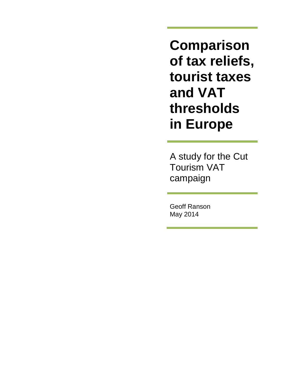**Comparison of tax reliefs, tourist taxes and VAT thresholds in Europe**

A study for the Cut Tourism VAT campaign

Geoff Ranson May 2014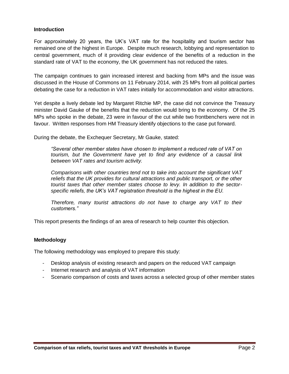#### **Introduction**

For approximately 20 years, the UK's VAT rate for the hospitality and tourism sector has remained one of the highest in Europe. Despite much research, lobbying and representation to central government, much of it providing clear evidence of the benefits of a reduction in the standard rate of VAT to the economy, the UK government has not reduced the rates.

The campaign continues to gain increased interest and backing from MPs and the issue was discussed in the House of Commons on 11 February 2014, with 25 MPs from all political parties debating the case for a reduction in VAT rates initially for accommodation and visitor attractions.

Yet despite a lively debate led by Margaret Ritchie MP, the case did not convince the Treasury minister David Gauke of the benefits that the reduction would bring to the economy. Of the 25 MPs who spoke in the debate, 23 were in favour of the cut while two frontbenchers were not in favour. Written responses from HM Treasury identify objections to the case put forward.

During the debate, the Exchequer Secretary, Mr Gauke, stated:

*"Several other member states have chosen to implement a reduced rate of VAT on tourism, but the Government have yet to find any evidence of a causal link between VAT rates and tourism activity.* 

*Comparisons with other countries tend not to take into account the significant VAT reliefs that the UK provides for cultural attractions and public transport, or the other tourist taxes that other member states choose to levy. In addition to the sectorspecific reliefs, the UK's VAT registration threshold is the highest in the EU.* 

*Therefore, many tourist attractions do not have to charge any VAT to their customers."*

This report presents the findings of an area of research to help counter this objection.

### **Methodology**

The following methodology was employed to prepare this study:

- Desktop analysis of existing research and papers on the reduced VAT campaign
- Internet research and analysis of VAT information
- Scenario comparison of costs and taxes across a selected group of other member states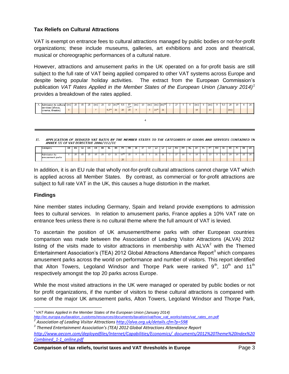# **Tax Reliefs on Cultural Attractions**

VAT is exempt on entrance fees to cultural attractions managed by public bodies or not-for-profit organizations; these include museums, galleries, art exhibitions and zoos and theatrical, musical or choreographic performances of a cultural nature.

However, attractions and amusement parks in the UK operated on a for-profit basis are still subject to the full rate of VAT being applied compared to other VAT systems across Europe and despite being popular holiday activities. The extract from the European Commission's publication *VAT Rates Applied in the Member States of the European Union (January 2014)<sup>1</sup>* provides a breakdown of the rates applied.



APPLICATION OF REDUCED VAT RATES BY THE MEMBER STATES TO THE CATEGORIES OF GOODS AND SERVICES CONTAINED IN ANNEX III OF VAT DIRECTIVE 2006/112/EC

| Category                        | BE | ВG | cz | DК | DE | EE | EL. | ES   | FR              | HR | IE | IΤ | CY | LV | LT | LU | HU | МT | <b>NL</b> | AT | PL. | <b>PT</b> | RO | SI  | <b>SK</b> |    | SE. | UK |
|---------------------------------|----|----|----|----|----|----|-----|------|-----------------|----|----|----|----|----|----|----|----|----|-----------|----|-----|-----------|----|-----|-----------|----|-----|----|
| Admission to<br>amusement parks |    | 20 |    | 25 | 19 | ∠∪ |     | $-1$ | $10^{36}$<br>20 | 25 |    | ∠∠ |    |    |    |    | 27 | 18 |           | 10 |     | --        |    | 9,5 | 20        | 10 | 25  |    |

In addition, it is an EU rule that wholly not-for-profit cultural attractions cannot charge VAT which is applied across all Member States. By contrast, as commercial or for-profit attractions are subject to full rate VAT in the UK, this causes a huge distortion in the market.

### **Findings**

Nine member states including Germany, Spain and Ireland provide exemptions to admission fees to cultural services. In relation to amusement parks, France applies a 10% VAT rate on entrance fees unless there is no cultural theme where the full amount of VAT is levied.

To ascertain the position of UK amusement/theme parks with other European countries comparison was made between the Association of Leading Visitor Attractions (ALVA) 2012 listing of the visits made to visitor attractions in membership with  $AUVA<sup>2</sup>$  with the Themed Entertainment Association's (TEA) 2012 Global Attractions Attendance Report<sup>3</sup> which compares amusement parks across the world on performance and number of visitors. This report identified that Alton Towers, Legoland Windsor and Thorpe Park were ranked  $9<sup>th</sup>$ , 10<sup>th</sup> and 11<sup>th</sup> respectively amongst the top 20 parks across Europe.

While the most visited attractions in the UK were managed or operated by public bodies or not for profit organizations, if the number of visitors to these cultural attractions is compared with some of the major UK amusement parks, Alton Towers, Legoland Windsor and Thorpe Park,

 $\overline{\phantom{a}}$ 1 *VAT Rates Applied in the Member States of the European Union (January 2014)*

*[http://ec.europa.eu/taxation\\_customs/resources/documents/taxation/vat/how\\_vat\\_works/rates/vat\\_rates\\_en.pdf](http://ec.europa.eu/taxation_customs/resources/documents/taxation/vat/how_vat_works/rates/vat_rates_en.pdf) 2*

*Association of Leading Visitor Attraction[s http://alva.org.uk/details.cfm?p=598](http://alva.org.uk/details.cfm?p=598)*

*<sup>3</sup> Themed Entertainment Association's (TEA) 2012 Global Attractions Attendance Report [http://www.aecom.com/deployedfiles/Internet/Capabilities/Economics/\\_documents/2012%20Theme%20Index%20](http://www.aecom.com/deployedfiles/Internet/Capabilities/Economics/_documents/2012%20Theme%20Index%20Combined_1-1_online.pdf) [Combined\\_1-1\\_online.pdf](http://www.aecom.com/deployedfiles/Internet/Capabilities/Economics/_documents/2012%20Theme%20Index%20Combined_1-1_online.pdf)*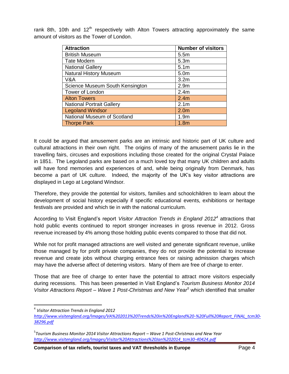rank 8th, 10th and  $12<sup>th</sup>$  respectively with Alton Towers attracting approximately the same amount of visitors as the Tower of London.

| <b>Attraction</b>                | <b>Number of visitors</b> |
|----------------------------------|---------------------------|
| <b>British Museum</b>            | 5.5m                      |
| <b>Tate Modern</b>               | 5.3 <sub>m</sub>          |
| <b>National Gallery</b>          | 5.1 <sub>m</sub>          |
| <b>Natural History Museum</b>    | 5.0m                      |
| V&A                              | 3.2 <sub>m</sub>          |
| Science Museum South Kensington  | 2.9 <sub>m</sub>          |
| Tower of London                  | 2.4m                      |
| <b>Alton Towers</b>              | 2.4 <sub>m</sub>          |
| <b>National Portrait Gallery</b> | 2.1 <sub>m</sub>          |
| <b>Legoland Windsor</b>          | 2.0 <sub>m</sub>          |
| National Museum of Scotland      | 1.9 <sub>m</sub>          |
| <b>Thorpe Park</b>               | 1.8 <sub>m</sub>          |

It could be argued that amusement parks are an intrinsic and historic part of UK culture and cultural attractions in their own right. The origins of many of the amusement parks lie in the travelling fairs, circuses and expositions including those created for the original Crystal Palace in 1851. The Legoland parks are based on a much loved toy that many UK children and adults will have fond memories and experiences of and, while being originally from Denmark, has become a part of UK culture. Indeed, the majority of the UK's key visitor attractions are displayed in Lego at Legoland Windsor.

Therefore, they provide the potential for visitors, families and schoolchildren to learn about the development of social history especially if specific educational events, exhibitions or heritage festivals are provided and which tie in with the national curriculum.

According to Visit England's report *Visitor Attraction Trends in England 2012<sup>4</sup>* attractions that hold public events continued to report stronger increases in gross revenue in 2012. Gross revenue increased by 4% among those holding public events compared to those that did not.

While not for profit managed attractions are well visited and generate significant revenue, unlike those managed by for profit private companies, they do not provide the potential to increase revenue and create jobs without charging entrance fees or raising admission charges which may have the adverse affect of deterring visitors. Many of them are free of charge to enter.

Those that are free of charge to enter have the potential to attract more visitors especially during recessions. This has been presented in Visit England's *Tourism Business Monitor 2014 Visitor Attractions Report – Wave 1 Post-Christmas and New Year<sup>5</sup>* which identified that smaller

 $\overline{\phantom{a}}$ 

**Comparison of tax reliefs, tourist taxes and VAT thresholds in Europe Fage 4** Page 4

<sup>4</sup> *Visitor Attraction Trends in England 2012*

*[http://www.visitengland.org/Images/VA%202013%20Trends%20in%20England%20-%20Full%20Report\\_FINAL\\_tcm30-](http://www.visitengland.org/Images/VA%202013%20Trends%20in%20England%20-%20Full%20Report_FINAL_tcm30-38296.pdf) [38296.pdf](http://www.visitengland.org/Images/VA%202013%20Trends%20in%20England%20-%20Full%20Report_FINAL_tcm30-38296.pdf)*

<sup>&</sup>lt;sup>5</sup> Tourism Business Monitor 2014 Visitor Attractions Report – Wave 1 Post-Christmas and New Year *[http://www.visitengland.org/Images/Visitor%20Attractions%20Jan%202014\\_tcm30-40424.pdf](http://www.visitengland.org/Images/Visitor%20Attractions%20Jan%202014_tcm30-40424.pdf)*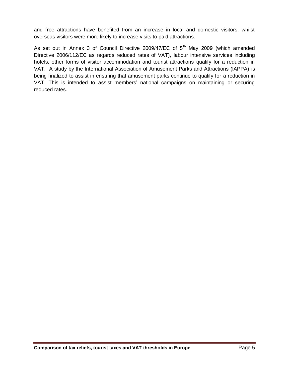and free attractions have benefited from an increase in local and domestic visitors, whilst overseas visitors were more likely to increase visits to paid attractions.

As set out in Annex 3 of Council Directive 2009/47/EC of 5<sup>th</sup> May 2009 (which amended Directive 2006/112/EC as regards reduced rates of VAT), labour intensive services including hotels, other forms of visitor accommodation and tourist attractions qualify for a reduction in VAT. A study by the International Association of Amusement Parks and Attractions (IAPPA) is being finalized to assist in ensuring that amusement parks continue to qualify for a reduction in VAT. This is intended to assist members' national campaigns on maintaining or securing reduced rates.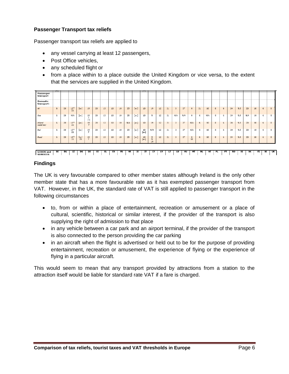# **Passenger Transport tax reliefs**

Passenger transport tax reliefs are applied to

- any vessel carrying at least 12 passengers,
- Post Office vehicles,
- any scheduled flight or
- from a place within to a place outside the United Kingdom or vice versa, to the extent that the services are supplied in the United Kingdom.

| $\circ$        |
|----------------|
|                |
|                |
|                |
| $^{\circ}$     |
| $\circ$        |
| $\overline{0}$ |
| $\circ$        |
|                |

### **Findings**

The UK is very favourable compared to other member states although Ireland is the only other member state that has a more favourable rate as it has exempted passenger transport from VAT. However, in the UK, the standard rate of VAT is still applied to passenger transport in the following circumstances

- to, from or within a place of entertainment, recreation or amusement or a place of cultural, scientific, historical or similar interest, if the provider of the transport is also supplying the right of admission to that place
- in any vehicle between a car park and an airport terminal, if the provider of the transport is also connected to the person providing the car parking
- in an aircraft when the flight is advertised or held out to be for the purpose of providing entertainment, recreation or amusement, the experience of flying or the experience of flying in a particular aircraft.

This would seem to mean that any transport provided by attractions from a station to the attraction itself would be liable for standard rate VAT if a fare is charged.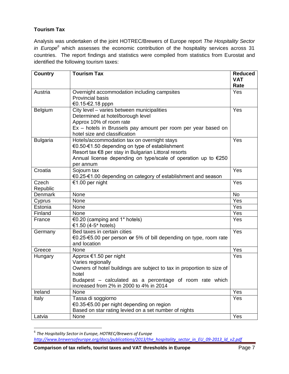# **Tourism Tax**

Analysis was undertaken of the joint HOTREC/Brewers of Europe report *The Hospitality Sector in Europe<sup>6</sup>* which assesses the economic contribution of the hospitality services across 31 countries. The report findings and statistics were compiled from statistics from Eurostat and identified the following tourism taxes:

| <b>Country</b>  | <b>Tourism Tax</b>                                                                                  | <b>Reduced</b> |
|-----------------|-----------------------------------------------------------------------------------------------------|----------------|
|                 |                                                                                                     | <b>VAT</b>     |
|                 |                                                                                                     | Rate           |
| Austria         | Overnight accommodation including campsites                                                         | Yes            |
|                 | <b>Provincial basis</b>                                                                             |                |
|                 | €0.15-€2.18 pppn                                                                                    |                |
| Belgium         | City level - varies between municipalities                                                          | Yes            |
|                 | Determined at hotel/borough level                                                                   |                |
|                 | Approx 10% of room rate                                                                             |                |
|                 | Ex - hotels in Brussels pay amount per room per year based on<br>hotel size and classification      |                |
| <b>Bulgaria</b> | Hotels/accommodation tax on overnight stays                                                         | Yes            |
|                 | €0.50 €1.50 depending on type of establishment                                                      |                |
|                 | Resort tax €8 per stay in Bulgarian Littoral resorts                                                |                |
|                 | Annual license depending on type/scale of operation up to €250                                      |                |
|                 | per annum                                                                                           |                |
| Croatia         | Sojourn tax                                                                                         | Yes            |
|                 | €0.25-€1.00 depending on category of establishment and season                                       |                |
| Czech           | €1.00 per night                                                                                     | Yes            |
| Republic        |                                                                                                     |                |
| <b>Denmark</b>  | None                                                                                                | <b>No</b>      |
| Cyprus          | None                                                                                                | Yes            |
| Estonia         | None                                                                                                | Yes            |
| Finland         | None                                                                                                | Yes            |
| France          | €0.20 (camping and 1* hotels)                                                                       | Yes            |
|                 | €1.50 (4-5* hotels)                                                                                 |                |
| Germany         | Bed taxes in certain cities                                                                         | Yes            |
|                 | €0.25-€5.00 per person or 5% of bill depending on type, room rate                                   |                |
|                 | and location                                                                                        |                |
| Greece          | None                                                                                                | Yes            |
| Hungary         | Approx €1.50 per night                                                                              | Yes            |
|                 | Varies regionally                                                                                   |                |
|                 | Owners of hotel buildings are subject to tax in proportion to size of                               |                |
|                 | hotel                                                                                               |                |
|                 | Budapest - calculated as a percentage of room rate which<br>increased from 2% in 2000 to 4% in 2014 |                |
| Ireland         | None                                                                                                | Yes            |
|                 | Tassa di soggiorno                                                                                  | Yes            |
| Italy           | €0.35-€5.00 per night depending on region                                                           |                |
|                 | Based on star rating levied on a set number of nights                                               |                |
| Latvia          | None                                                                                                | Yes            |
|                 |                                                                                                     |                |

 6 *The Hospitality Sector in Europe, HOTREC/Brewers of Europe [http://www.brewersofeurope.org/docs/publications/2013/the\\_hospitality\\_sector\\_in\\_EU\\_09-2013\\_ld\\_v2.pdf](http://www.brewersofeurope.org/docs/publications/2013/the_hospitality_sector_in_EU_09-2013_ld_v2.pdf)*

**Comparison of tax reliefs, tourist taxes and VAT thresholds in Europe Page 7** Page 7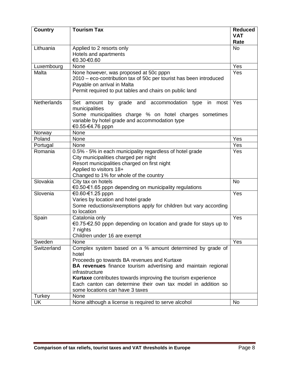| <b>Country</b>     | <b>Tourism Tax</b>                                                                                                                                                                                                                                                                                                                                                                    | <b>Reduced</b><br><b>VAT</b><br>Rate |
|--------------------|---------------------------------------------------------------------------------------------------------------------------------------------------------------------------------------------------------------------------------------------------------------------------------------------------------------------------------------------------------------------------------------|--------------------------------------|
| Lithuania          | Applied to 2 resorts only<br>Hotels and apartments<br>€0.30 €0.60                                                                                                                                                                                                                                                                                                                     | <b>No</b>                            |
| Luxembourg         | None                                                                                                                                                                                                                                                                                                                                                                                  | Yes                                  |
| Malta              | None however, was proposed at 50c pppn<br>2010 – eco-contribution tax of 50c per tourist has been introduced<br>Payable on arrival in Malta<br>Permit required to put tables and chairs on public land                                                                                                                                                                                | Yes                                  |
| <b>Netherlands</b> | Set amount<br>by grade and accommodation type in<br>most<br>municipalities<br>Some municipalities charge % on hotel charges sometimes<br>variable by hotel grade and accommodation type<br>€0.55-€4.76 pppn                                                                                                                                                                           | Yes                                  |
| Norway             | None                                                                                                                                                                                                                                                                                                                                                                                  |                                      |
| Poland             | None                                                                                                                                                                                                                                                                                                                                                                                  | Yes                                  |
| Portugal           | None                                                                                                                                                                                                                                                                                                                                                                                  | Yes                                  |
| Romania            | 0.5% - 5% in each municipality regardless of hotel grade<br>City municipalities charged per night<br>Resort municipalities charged on first night<br>Applied to visitors 18+<br>Changed to 1% for whole of the country                                                                                                                                                                | Yes                                  |
| Slovakia           | City tax on hotels<br>€0.50 €1.65 pppn depending on municipality regulations                                                                                                                                                                                                                                                                                                          | <b>No</b>                            |
| Slovenia           | €0.60-€1.25 pppn<br>Varies by location and hotel grade<br>Some reductions/exemptions apply for children but vary according<br>to location                                                                                                                                                                                                                                             | Yes                                  |
| Spain              | Catalonia only<br>€0.75-€2.50 pppn depending on location and grade for stays up to<br>7 nights<br>Children under 16 are exempt                                                                                                                                                                                                                                                        | Yes                                  |
| Sweden             | None                                                                                                                                                                                                                                                                                                                                                                                  | Yes                                  |
| Switzerland        | Complex system based on a % amount determined by grade of<br>hotel<br>Proceeds go towards BA revenues and Kurtaxe<br><b>BA revenues</b> finance tourism advertising and maintain regional<br>infrastructure<br><b>Kurtaxe</b> contributes towards improving the tourism experience<br>Each canton can determine their own tax model in addition so<br>some locations can have 3 taxes |                                      |
| Turkey             | None                                                                                                                                                                                                                                                                                                                                                                                  |                                      |
| UK                 | None although a license is required to serve alcohol                                                                                                                                                                                                                                                                                                                                  | <b>No</b>                            |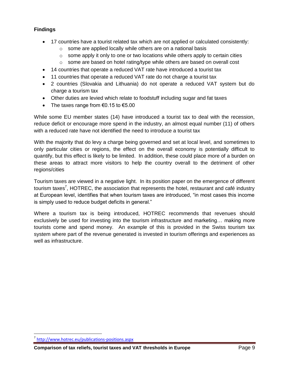# **Findings**

- 17 countries have a tourist related tax which are not applied or calculated consistently:
	- $\circ$  some are applied locally while others are on a national basis
	- $\circ$  some apply it only to one or two locations while others apply to certain cities
	- o some are based on hotel rating/type while others are based on overall cost
- 14 countries that operate a reduced VAT rate have introduced a tourist tax
- 11 countries that operate a reduced VAT rate do not charge a tourist tax
- 2 countries (Slovakia and Lithuania) do not operate a reduced VAT system but do charge a tourism tax
- Other duties are levied which relate to foodstuff including sugar and fat taxes
- The taxes range from  $\epsilon$ 0.15 to  $\epsilon$ 5.00

While some EU member states (14) have introduced a tourist tax to deal with the recession, reduce deficit or encourage more spend in the industry, an almost equal number (11) of others with a reduced rate have not identified the need to introduce a tourist tax

With the majority that do levy a charge being governed and set at local level, and sometimes to only particular cities or regions, the effect on the overall economy is potentially difficult to quantify, but this effect is likely to be limited. In addition, these could place more of a burden on these areas to attract more visitors to help the country overall to the detriment of other regions/cities

Tourism taxes are viewed in a negative light. In its position paper on the emergence of different tourism taxes<sup>7</sup>, HOTREC, the association that represents the hotel, restaurant and café industry at European level, identifies that when tourism taxes are introduced, "in most cases this income is simply used to reduce budget deficits in general."

Where a tourism tax is being introduced, HOTREC recommends that revenues should exclusively be used for investing into the tourism infrastructure and marketing… making more tourists come and spend money. An example of this is provided in the Swiss tourism tax system where part of the revenue generated is invested in tourism offerings and experiences as well as infrastructure.

 $\overline{a}$ 

<sup>7</sup> <http://www.hotrec.eu/publications-positions.aspx>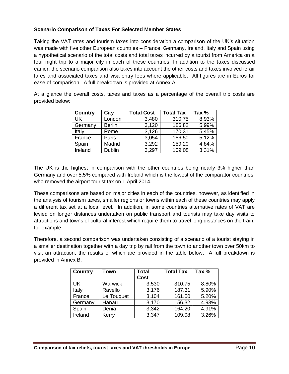## **Scenario Comparison of Taxes For Selected Member States**

Taking the VAT rates and tourism taxes into consideration a comparison of the UK's situation was made with five other European countries – France, Germany, Ireland, Italy and Spain using a hypothetical scenario of the total costs and total taxes incurred by a tourist from America on a four night trip to a major city in each of these countries. In addition to the taxes discussed earlier, the scenario comparison also takes into account the other costs and taxes involved ie air fares and associated taxes and visa entry fees where applicable. All figures are in Euros for ease of comparison. A full breakdown is provided at Annex A.

At a glance the overall costs, taxes and taxes as a percentage of the overall trip costs are provided below:

| <b>Country</b> | City          | <b>Total Cost</b> | <b>Total Tax</b> | Tax % |
|----------------|---------------|-------------------|------------------|-------|
| UK             | London        | 3,480             | 310.75           | 8.93% |
| Germany        | <b>Berlin</b> | 3,120             | 186.82           | 5.99% |
| Italy          | Rome          | 3,126             | 170.31           | 5.45% |
| France         | Paris         | 3,054             | 156.50           | 5.12% |
| Spain          | Madrid        | 3,292             | 159.20           | 4.84% |
| Ireland        | <b>Dublin</b> | 3,297             | 109.08           | 3.31% |

The UK is the highest in comparison with the other countries being nearly 3% higher than Germany and over 5.5% compared with Ireland which is the lowest of the comparator countries, who removed the airport tourist tax on 1 April 2014.

These comparisons are based on major cities in each of the countries, however, as identified in the analysis of tourism taxes, smaller regions or towns within each of these countries may apply a different tax set at a local level. In addition, in some countries alternative rates of VAT are levied on longer distances undertaken on public transport and tourists may take day visits to attractions and towns of cultural interest which require them to travel long distances on the train, for example.

Therefore, a second comparison was undertaken consisting of a scenario of a tourist staying in a smaller destination together with a day trip by rail from the town to another town over 50km to visit an attraction, the results of which are provided in the table below. A full breakdown is provided in Annex B.

| <b>Country</b> | Town           | <b>Total</b> | <b>Total Tax</b> | Tax % |
|----------------|----------------|--------------|------------------|-------|
|                |                | <b>Cost</b>  |                  |       |
| UK             | <b>Warwick</b> | 3,530        | 310.75           | 8.80% |
| Italy          | Ravello        | 3,176        | 187.31           | 5.90% |
| France         | Le Touquet     | 3,104        | 161.50           | 5.20% |
| Germany        | Hanau          | 3,170        | 156.32           | 4.93% |
| Spain          | Denia          | 3,342        | 164.20           | 4.91% |
| Ireland        | Kerry          | 3,347        | 109.08           | 3.26% |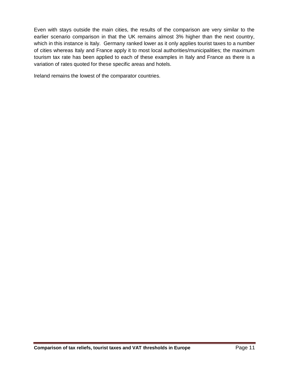Even with stays outside the main cities, the results of the comparison are very similar to the earlier scenario comparison in that the UK remains almost 3% higher than the next country, which in this instance is Italy. Germany ranked lower as it only applies tourist taxes to a number of cities whereas Italy and France apply it to most local authorities/municipalities; the maximum tourism tax rate has been applied to each of these examples in Italy and France as there is a variation of rates quoted for these specific areas and hotels.

Ireland remains the lowest of the comparator countries.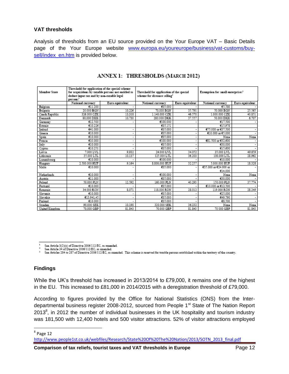# **VAT thresholds**

Analysis of thresholds from an EU source provided on the Your Europe VAT – Basic Details page of the Your Europe website [www.europa.eu/youreurope/business/vat-customs/buy](http://www.europa.eu/youreurope/business/vat-customs/buy-sell/index_en.htm)[sell/index\\_en.htm](http://www.europa.eu/youreurope/business/vat-customs/buy-sell/index_en.htm) is provided below.

| Member State   | Threshold for application of the special scheme<br>for acquisitions by taxable persons not entitled to<br>deduct input tax and by non-taxable legal<br>persons <sup>1</sup> |                 | Threshold for application of the special<br>scheme for distance selling <sup>2</sup> |                 | Exemption for small enterprises <sup>3</sup> |                 |
|----------------|-----------------------------------------------------------------------------------------------------------------------------------------------------------------------------|-----------------|--------------------------------------------------------------------------------------|-----------------|----------------------------------------------|-----------------|
|                | National currency                                                                                                                                                           | Euro equivalent | National currency                                                                    | Euro equivalent | National currency                            | Euro equivalent |
| Belgium        | e11.200                                                                                                                                                                     |                 | €35.000                                                                              |                 | 05.580                                       |                 |
| Bulgaria       | 20.000 BGN                                                                                                                                                                  | 10.226          | 70,000 BGN                                                                           | 35.791          | 50,000 BGN                                   | 25.565          |
| Czech Republic | 326,000 CZK                                                                                                                                                                 | 13.318          | 1.140.000 CZK                                                                        | 46.570          | 1.000.000 CZK                                | 40.851          |
| Denmark        | 80,000 DKK                                                                                                                                                                  | 10.730          | 280.000 DKK                                                                          | 37.557          | 50.000 DKK                                   | 6.707           |
| Germany        | €12.500                                                                                                                                                                     |                 | €100.000                                                                             |                 | £17,500                                      |                 |
| Estonia        | €10.226                                                                                                                                                                     |                 | <b>@35.151</b>                                                                       |                 | €15.978                                      |                 |
| Ireland        | €41.000                                                                                                                                                                     |                 | £35.000                                                                              |                 | €75.000 or €37.500                           |                 |
| Greece         | €10,000                                                                                                                                                                     | $\blacksquare$  | €35.000                                                                              |                 | €10.000 or €5,000                            | ۰               |
| Spain          | C10.000                                                                                                                                                                     | $\blacksquare$  | €35.000                                                                              |                 | None                                         | None            |
| France         | €10.000                                                                                                                                                                     | $\blacksquare$  | €100.000                                                                             |                 | €81.500 or €32.600                           |                 |
| Italy          | €10,000                                                                                                                                                                     | $\blacksquare$  | £35,000                                                                              |                 | €30,000                                      |                 |
| Cyprus         | 610.251                                                                                                                                                                     |                 | €35.000                                                                              |                 | €15,600                                      | ۰               |
| Latvia         | 7.000 LVL                                                                                                                                                                   | 9.932           | 24.000 LVL                                                                           | 34.052          | 35.000 LVL                                   | 49.659          |
| Lithuania      | 35,000 LTL                                                                                                                                                                  | 10.137          | 125.000 LTL                                                                          | 36.203          | 100,000 LTL                                  | 28.962          |
| Luxembourg     | C10.000                                                                                                                                                                     |                 | €100.000                                                                             |                 | €10.000                                      |                 |
| Hungary        | 2.500.000 HUF                                                                                                                                                               | 9.164           | 8.800.000 HUF                                                                        | 32.257          | 5.000.000 HUF                                | 18.328          |
| Malta          | 610.000                                                                                                                                                                     |                 | €35.000                                                                              |                 | €35,000 or €24,000 or                        |                 |
|                |                                                                                                                                                                             |                 |                                                                                      |                 | £14,000                                      |                 |
| Netherlands    | €10.000                                                                                                                                                                     | $\cdot$         | €100.000                                                                             |                 | Nome                                         | None            |
| Austria        | €11.000                                                                                                                                                                     |                 | €35.000                                                                              |                 | €30,000                                      |                 |
| Poland         | 50.000 PLN                                                                                                                                                                  | 12.592          | 160.000 PLN                                                                          | 40.293          | 150,000 PLN                                  | 37.774          |
| Postugal       | €10.000                                                                                                                                                                     |                 | £35.000                                                                              |                 | €10.000 or €12.500                           |                 |
| Romania        | 34.000 RON                                                                                                                                                                  | 8.071           | 118,000 RON                                                                          | 28.012          | 119,000 RON                                  | 28.249          |
| Slovenia       | €10,000                                                                                                                                                                     |                 | €35.000                                                                              |                 | €25,000                                      |                 |
| Slovakia       | C13.941.45                                                                                                                                                                  | $\cdot$         | £35.000                                                                              |                 | 649.790                                      |                 |
| Finland        | €10,000                                                                                                                                                                     |                 | €35.000                                                                              |                 | €8,500                                       |                 |
| Sweden         | 90.000 SEK                                                                                                                                                                  | 10.190          | 320.000 SEK                                                                          | 36.232          | None                                         | None            |
| United Kingdom | 70.000 GBP                                                                                                                                                                  | 81.843          | 70.000 GBP                                                                           | 81.843          | 70 000 GBP                                   | 81.843          |

# ANNEX 1: THRESHOLDS (MARCH 2012)

 $\mathbf{I}$ 

s

See Article 3(2)(a) of Directive 2006/112/EC, as amended.<br>See Article 34 of Directive 2006/112/EC, as amended.<br>See Articles 284 to 287 of Directive 2006/112/EC, as amended. This scheme is reserved for taxable persons estab

### **Findings**

While the UK's threshold has increased in 2013/2014 to £79,000, it remains one of the highest in the EU. This increased to £81,000 in 2014/2015 with a deregistration threshold of £79,000.

According to figures provided by the Office for National Statistics (ONS) from the Interdepartmental business register 2008-2012, sourced from People 1<sup>st</sup> State of The Nation Report 2013 $\text{\textdegree}$ , in 2012 the number of individual businesses in the UK hospitality and tourism industry was 181,500 with 12,400 hotels and 500 visitor attractions. 52% of visitor attractions employed

 $\overline{a}$ 

<sup>&</sup>lt;sup>8</sup> Page 12

[http://www.people1st.co.uk/webfiles/Research/State%20Of%20The%20Nation/2013/SOTN\\_2013\\_final.pdf](http://www.people1st.co.uk/webfiles/Research/State%20Of%20The%20Nation/2013/SOTN_2013_final.pdf)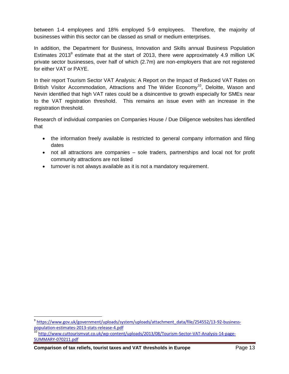between 1-4 employees and 18% employed 5-9 employees. Therefore, the majority of businesses within this sector can be classed as small or medium enterprises.

In addition, the Department for Business, Innovation and Skills annual Business Population Estimates 2013 $9$  estimate that at the start of 2013, there were approximately 4.9 million UK private sector businesses, over half of which (2.7m) are non-employers that are not registered for either VAT or PAYE.

In their report Tourism Sector VAT Analysis: A Report on the Impact of Reduced VAT Rates on British Visitor Accommodation, Attractions and The Wider Economy<sup>10</sup>, Deloitte, Wason and Nevin identified that high VAT rates could be a disincentive to growth especially for SMEs near to the VAT registration threshold. This remains an issue even with an increase in the registration threshold.

Research of individual companies on Companies House / Due Diligence websites has identified that

- the information freely available is restricted to general company information and filing dates
- not all attractions are companies sole traders, partnerships and local not for profit community attractions are not listed
- turnover is not always available as it is not a mandatory requirement.

**Comparison of tax reliefs, tourist taxes and VAT thresholds in Europe** Page 13

 $\overline{a}$ 

<sup>&</sup>lt;sup>9</sup> [https://www.gov.uk/government/uploads/system/uploads/attachment\\_data/file/254552/13-92-business](https://www.gov.uk/government/uploads/system/uploads/attachment_data/file/254552/13-92-business-population-estimates-2013-stats-release-4.pdf)[population-estimates-2013-stats-release-4.pdf](https://www.gov.uk/government/uploads/system/uploads/attachment_data/file/254552/13-92-business-population-estimates-2013-stats-release-4.pdf)

<sup>&</sup>lt;sup>10</sup> [http://www.cuttourismvat.co.uk/wp-content/uploads/2013/08/Tourism-Sector-VAT-Analysis-14-page-](http://www.cuttourismvat.co.uk/wp-content/uploads/2013/08/Tourism-Sector-VAT-Analysis-14-page-SUMMARY-070211.pdf)[SUMMARY-070211.pdf](http://www.cuttourismvat.co.uk/wp-content/uploads/2013/08/Tourism-Sector-VAT-Analysis-14-page-SUMMARY-070211.pdf)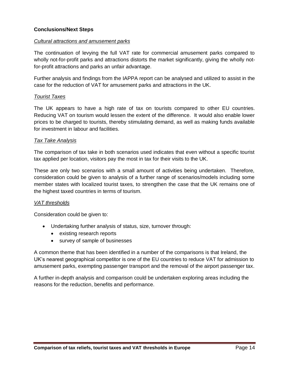## **Conclusions/Next Steps**

#### *Cultural attractions and amusement parks*

The continuation of levying the full VAT rate for commercial amusement parks compared to wholly not-for-profit parks and attractions distorts the market significantly, giving the wholly notfor-profit attractions and parks an unfair advantage.

Further analysis and findings from the IAPPA report can be analysed and utilized to assist in the case for the reduction of VAT for amusement parks and attractions in the UK.

#### *Tourist Taxes*

The UK appears to have a high rate of tax on tourists compared to other EU countries. Reducing VAT on tourism would lessen the extent of the difference. It would also enable lower prices to be charged to tourists, thereby stimulating demand, as well as making funds available for investment in labour and facilities.

#### *Tax Take Analysis*

The comparison of tax take in both scenarios used indicates that even without a specific tourist tax applied per location, visitors pay the most in tax for their visits to the UK.

These are only two scenarios with a small amount of activities being undertaken. Therefore, consideration could be given to analysis of a further range of scenarios/models including some member states with localized tourist taxes, to strengthen the case that the UK remains one of the highest taxed countries in terms of tourism.

### *VAT thresholds*

Consideration could be given to:

- Undertaking further analysis of status, size, turnover through:
	- existing research reports
	- survey of sample of businesses

A common theme that has been identified in a number of the comparisons is that Ireland, the UK's nearest geographical competitor is one of the EU countries to reduce VAT for admission to amusement parks, exempting passenger transport and the removal of the airport passenger tax.

A further in-depth analysis and comparison could be undertaken exploring areas including the reasons for the reduction, benefits and performance.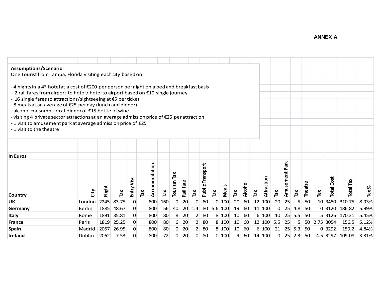# **ANNEX A**

| Assumptions/Scenario                                                                                                      |                                                                                                                                                                                           |        |       |                |              |               |     |                      |           |                      |                     |                |              |     |         |        |            |                       |           |                |                |                 |                   |                 |       |
|---------------------------------------------------------------------------------------------------------------------------|-------------------------------------------------------------------------------------------------------------------------------------------------------------------------------------------|--------|-------|----------------|--------------|---------------|-----|----------------------|-----------|----------------------|---------------------|----------------|--------------|-----|---------|--------|------------|-----------------------|-----------|----------------|----------------|-----------------|-------------------|-----------------|-------|
| One Tourist from Tampa, Florida visiting each city based on:                                                              |                                                                                                                                                                                           |        |       |                |              |               |     |                      |           |                      |                     |                |              |     |         |        |            |                       |           |                |                |                 |                   |                 |       |
|                                                                                                                           |                                                                                                                                                                                           |        |       |                |              |               |     |                      |           |                      |                     |                |              |     |         |        |            |                       |           |                |                |                 |                   |                 |       |
|                                                                                                                           | -4 nights in a 4* hotelat a cost of $\epsilon$ 200 per person per night on a bed and breakfast basis<br>- 2 rail fares from airport to hotel/ hotelto airport based on €10 single journey |        |       |                |              |               |     |                      |           |                      |                     |                |              |     |         |        |            |                       |           |                |                |                 |                   |                 |       |
|                                                                                                                           |                                                                                                                                                                                           |        |       |                |              |               |     |                      |           |                      |                     |                |              |     |         |        |            |                       |           |                |                |                 |                   |                 |       |
| - 16 single fares to attractions/sightseeing at €5 per ticket<br>-8 meals at an average of €25 per day (lunch and dinner) |                                                                                                                                                                                           |        |       |                |              |               |     |                      |           |                      |                     |                |              |     |         |        |            |                       |           |                |                |                 |                   |                 |       |
| - alcohol consumption at dinner of €15 bottle of wine                                                                     |                                                                                                                                                                                           |        |       |                |              |               |     |                      |           |                      |                     |                |              |     |         |        |            |                       |           |                |                |                 |                   |                 |       |
|                                                                                                                           | - visiting 4 private sector attractions at an average admission price of €25 per attraction                                                                                               |        |       |                |              |               |     |                      |           |                      |                     |                |              |     |         |        |            |                       |           |                |                |                 |                   |                 |       |
| - 1 visit to amusement park at average admission price of €25                                                             |                                                                                                                                                                                           |        |       |                |              |               |     |                      |           |                      |                     |                |              |     |         |        |            |                       |           |                |                |                 |                   |                 |       |
| -1 visit to the theatre                                                                                                   |                                                                                                                                                                                           |        |       |                |              |               |     |                      |           |                      |                     |                |              |     |         |        |            |                       |           |                |                |                 |                   |                 |       |
|                                                                                                                           |                                                                                                                                                                                           |        |       |                |              |               |     |                      |           |                      |                     |                |              |     |         |        |            |                       |           |                |                |                 |                   |                 |       |
|                                                                                                                           |                                                                                                                                                                                           |        |       |                |              |               |     |                      |           |                      |                     |                |              |     |         |        |            |                       |           |                |                |                 |                   |                 |       |
|                                                                                                                           |                                                                                                                                                                                           |        |       |                |              |               |     |                      |           |                      |                     |                |              |     |         |        |            |                       |           |                |                |                 |                   |                 |       |
| In Euros                                                                                                                  |                                                                                                                                                                                           |        |       |                |              |               |     |                      |           |                      |                     |                |              |     |         |        |            |                       |           |                |                |                 |                   |                 |       |
|                                                                                                                           |                                                                                                                                                                                           |        |       |                |              |               |     |                      |           |                      |                     |                |              |     |         |        |            |                       |           |                |                |                 |                   |                 |       |
|                                                                                                                           |                                                                                                                                                                                           |        |       |                |              | Accommodation |     |                      |           |                      | Transport           |                |              |     |         |        |            |                       | Park      |                |                |                 |                   |                 |       |
|                                                                                                                           |                                                                                                                                                                                           |        |       |                |              |               |     | Tax                  |           |                      |                     |                |              |     |         |        |            |                       | Amusement |                |                |                 |                   |                 |       |
|                                                                                                                           |                                                                                                                                                                                           |        |       | Entry Visa     |              |               |     |                      |           |                      |                     |                |              |     |         |        | Attraction |                       |           |                |                |                 | <b>Total Cost</b> |                 |       |
|                                                                                                                           |                                                                                                                                                                                           | Flight |       |                |              |               |     | Tourism <sup>-</sup> | Rail fare |                      | Public <sup>-</sup> |                | <b>Meals</b> |     | Alcohol |        |            |                       |           |                | <b>Theatre</b> |                 |                   | Total Tax       | ৯     |
| <b>Country</b>                                                                                                            | City                                                                                                                                                                                      |        | Tax   |                | $\mathbf{r}$ |               | Tax |                      |           | $\tilde{\mathbf{r}}$ |                     | $\mathsf{ra}$  |              | Tax |         | Ta $x$ |            | $\tilde{\mathsf{ra}}$ |           | Tax            |                | Tax             |                   |                 | Tax   |
| <b>UK</b>                                                                                                                 | London                                                                                                                                                                                    | 2245   | 83.75 | $\overline{0}$ |              | 800           | 160 | $\mathbf 0$          | 20        | $\overline{0}$       | 80                  | $\overline{0}$ | 100          | 20  | 60      |        | 12 100     | 20                    | 25        | 5 <sup>1</sup> | 50             | 10 <sup>1</sup> | 3480              | 310.75          | 8.93% |
| Germany                                                                                                                   | Berlin                                                                                                                                                                                    | 1885   | 48.67 | $\overline{0}$ |              | 800           | 56  | 40                   | 20        | 1.4                  | 80                  |                | 5.6 100      | 19  | 60      |        | $11$ 100   | 0                     | 25        | 4.8            | 50             |                 | 0 3120            | 186.82          | 5.99% |
| <b>Italy</b>                                                                                                              | Rome                                                                                                                                                                                      | 1891   | 35.81 | $\overline{0}$ |              | 800           | 80  | 8                    | 20        | 2                    | 80                  |                | 8 100        | 10  | 60      |        | 6 100      | 10                    | 25        | 5.5            | 50             |                 | 5 3126            | 170.31          | 5.45% |
| <b>France</b>                                                                                                             | Paris                                                                                                                                                                                     | 1819   | 25.25 | $\overline{0}$ |              | 800           | 80  | 6                    | 20        | 2                    | 80                  |                | 8 100        | 10  | 60      |        | 12 100     | 5.5                   | 25        | 5 <sub>l</sub> | 50             |                 | 2.75 3054         | 156.5           | 5.12% |
| <b>Spain</b>                                                                                                              | Madrid                                                                                                                                                                                    | 2057   | 26.95 | $\overline{0}$ |              | 800           | 80  | $\pmb{0}$            | 20        | 2                    | 80                  |                | 8 100        | 10  | 60      |        | 6 100      | 21                    | 25        | 5.3            | 50             |                 | 0 3292            | 159.2           | 4.84% |
| Ireland                                                                                                                   | Dublin                                                                                                                                                                                    | 2062   | 7.53  | $\overline{0}$ |              | 800           | 72  | $\mathbf 0$          | 20        | 0                    | 80                  |                | $0$ 100      | 9   | 60      |        | 14 100     | 0                     |           | $25$ 2.3       | 50             |                 |                   | 4.5 3297 109.08 | 3.31% |
|                                                                                                                           |                                                                                                                                                                                           |        |       |                |              |               |     |                      |           |                      |                     |                |              |     |         |        |            |                       |           |                |                |                 |                   |                 |       |